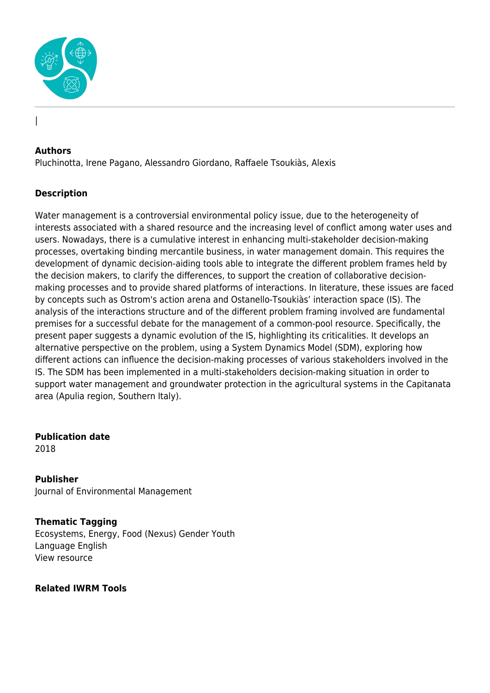

## **Authors**

|

Pluchinotta, Irene Pagano, Alessandro Giordano, Raffaele Tsoukiàs, Alexis

## **Description**

Water management is a controversial environmental policy issue, due to the heterogeneity of interests associated with a shared resource and the increasing level of conflict among water uses and users. Nowadays, there is a cumulative interest in enhancing multi-stakeholder decision-making processes, overtaking binding mercantile business, in water management domain. This requires the development of dynamic decision-aiding tools able to integrate the different problem frames held by the decision makers, to clarify the differences, to support the creation of collaborative decisionmaking processes and to provide shared platforms of interactions. In literature, these issues are faced by concepts such as Ostrom's action arena and Ostanello-Tsoukiàs' interaction space (IS). The analysis of the interactions structure and of the different problem framing involved are fundamental premises for a successful debate for the management of a common-pool resource. Specifically, the present paper suggests a dynamic evolution of the IS, highlighting its criticalities. It develops an alternative perspective on the problem, using a System Dynamics Model (SDM), exploring how different actions can influence the decision-making processes of various stakeholders involved in the IS. The SDM has been implemented in a multi-stakeholders decision-making situation in order to support water management and groundwater protection in the agricultural systems in the Capitanata area (Apulia region, Southern Italy).

**Publication date** 2018

**Publisher** Journal of Environmental Management

**Thematic Tagging** Ecosystems, Energy, Food (Nexus) Gender Youth Language English View resource

**Related IWRM Tools**